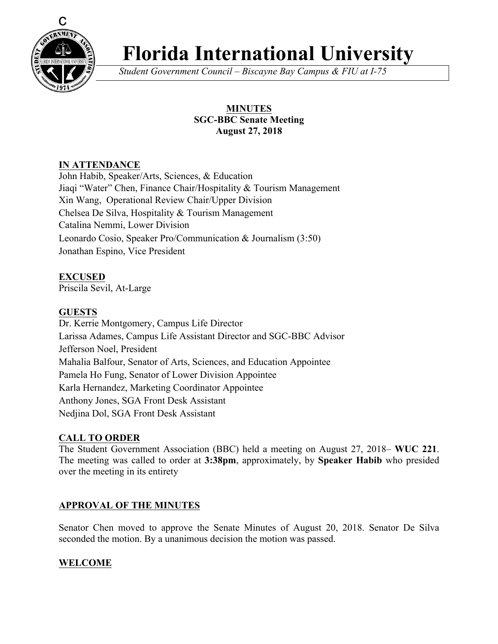

# **Florida International University**

*Student Government Council – Biscayne Bay Campus & FIU at I-75*

# **MINUTES SGC-BBC Senate Meeting August 27, 2018**

# **IN ATTENDANCE**

John Habib, Speaker/Arts, Sciences, & Education Jiaqi "Water" Chen, Finance Chair/Hospitality & Tourism Management Xin Wang, Operational Review Chair/Upper Division Chelsea De Silva, Hospitality & Tourism Management Catalina Nemmi, Lower Division Leonardo Cosio, Speaker Pro/Communication & Journalism (3:50) Jonathan Espino, Vice President

# **EXCUSED**

Priscila Sevil, At-Large

# **GUESTS**

Dr. Kerrie Montgomery, Campus Life Director Larissa Adames, Campus Life Assistant Director and SGC-BBC Advisor Jefferson Noel, President Mahalia Balfour, Senator of Arts, Sciences, and Education Appointee Pamela Ho Fung, Senator of Lower Division Appointee Karla Hernandez, Marketing Coordinator Appointee Anthony Jones, SGA Front Desk Assistant Nedjina Dol, SGA Front Desk Assistant

# **CALL TO ORDER**

The Student Government Association (BBC) held a meeting on August 27, 2018– **WUC 221**. The meeting was called to order at **3:38pm**, approximately, by **Speaker Habib** who presided over the meeting in its entirety

# **APPROVAL OF THE MINUTES**

Senator Chen moved to approve the Senate Minutes of August 20, 2018. Senator De Silva seconded the motion. By a unanimous decision the motion was passed.

# **WELCOME**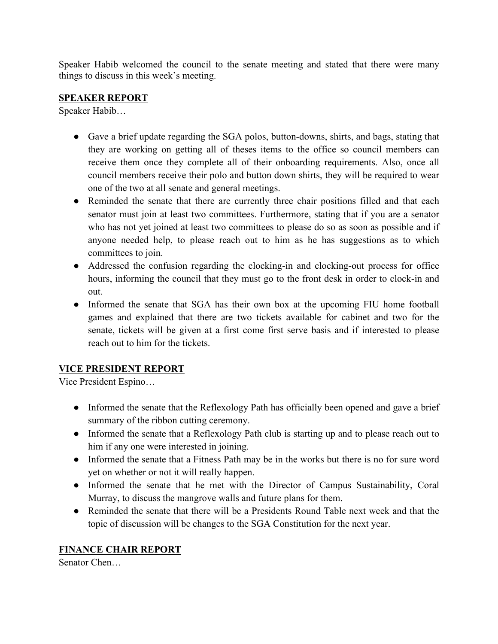Speaker Habib welcomed the council to the senate meeting and stated that there were many things to discuss in this week's meeting.

# **SPEAKER REPORT**

Speaker Habib…

- Gave a brief update regarding the SGA polos, button-downs, shirts, and bags, stating that they are working on getting all of theses items to the office so council members can receive them once they complete all of their onboarding requirements. Also, once all council members receive their polo and button down shirts, they will be required to wear one of the two at all senate and general meetings.
- Reminded the senate that there are currently three chair positions filled and that each senator must join at least two committees. Furthermore, stating that if you are a senator who has not yet joined at least two committees to please do so as soon as possible and if anyone needed help, to please reach out to him as he has suggestions as to which committees to join.
- Addressed the confusion regarding the clocking-in and clocking-out process for office hours, informing the council that they must go to the front desk in order to clock-in and out.
- Informed the senate that SGA has their own box at the upcoming FIU home football games and explained that there are two tickets available for cabinet and two for the senate, tickets will be given at a first come first serve basis and if interested to please reach out to him for the tickets.

# **VICE PRESIDENT REPORT**

Vice President Espino…

- Informed the senate that the Reflexology Path has officially been opened and gave a brief summary of the ribbon cutting ceremony.
- Informed the senate that a Reflexology Path club is starting up and to please reach out to him if any one were interested in joining.
- Informed the senate that a Fitness Path may be in the works but there is no for sure word yet on whether or not it will really happen.
- Informed the senate that he met with the Director of Campus Sustainability, Coral Murray, to discuss the mangrove walls and future plans for them.
- Reminded the senate that there will be a Presidents Round Table next week and that the topic of discussion will be changes to the SGA Constitution for the next year.

# **FINANCE CHAIR REPORT**

Senator Chen…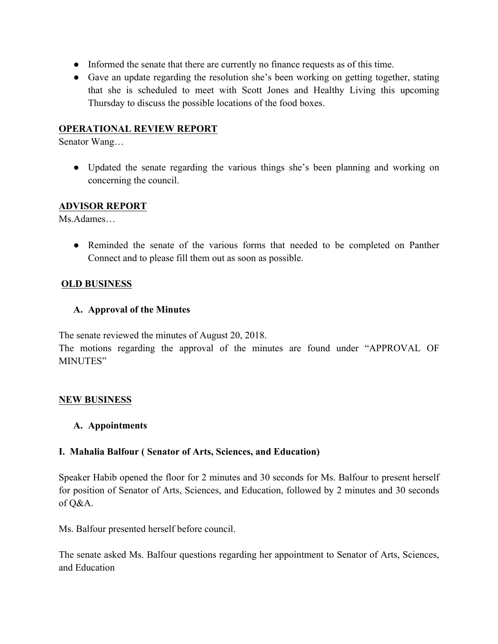- Informed the senate that there are currently no finance requests as of this time.
- Gave an update regarding the resolution she's been working on getting together, stating that she is scheduled to meet with Scott Jones and Healthy Living this upcoming Thursday to discuss the possible locations of the food boxes.

#### **OPERATIONAL REVIEW REPORT**

Senator Wang…

• Updated the senate regarding the various things she's been planning and working on concerning the council.

#### **ADVISOR REPORT**

Ms.Adames…

● Reminded the senate of the various forms that needed to be completed on Panther Connect and to please fill them out as soon as possible.

#### **OLD BUSINESS**

#### **A. Approval of the Minutes**

The senate reviewed the minutes of August 20, 2018.

The motions regarding the approval of the minutes are found under "APPROVAL OF MINUTES"

#### **NEW BUSINESS**

#### **A. Appointments**

## **I. Mahalia Balfour ( Senator of Arts, Sciences, and Education)**

Speaker Habib opened the floor for 2 minutes and 30 seconds for Ms. Balfour to present herself for position of Senator of Arts, Sciences, and Education, followed by 2 minutes and 30 seconds of Q&A.

Ms. Balfour presented herself before council.

The senate asked Ms. Balfour questions regarding her appointment to Senator of Arts, Sciences, and Education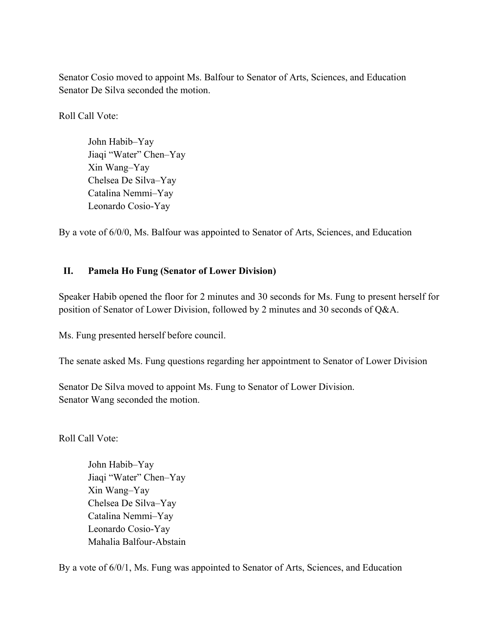Senator Cosio moved to appoint Ms. Balfour to Senator of Arts, Sciences, and Education Senator De Silva seconded the motion.

Roll Call Vote:

John Habib–Yay Jiaqi "Water" Chen–Yay Xin Wang–Yay Chelsea De Silva–Yay Catalina Nemmi–Yay Leonardo Cosio-Yay

By a vote of 6/0/0, Ms. Balfour was appointed to Senator of Arts, Sciences, and Education

## **II. Pamela Ho Fung (Senator of Lower Division)**

Speaker Habib opened the floor for 2 minutes and 30 seconds for Ms. Fung to present herself for position of Senator of Lower Division, followed by 2 minutes and 30 seconds of Q&A.

Ms. Fung presented herself before council.

The senate asked Ms. Fung questions regarding her appointment to Senator of Lower Division

Senator De Silva moved to appoint Ms. Fung to Senator of Lower Division. Senator Wang seconded the motion.

Roll Call Vote:

John Habib–Yay Jiaqi "Water" Chen–Yay Xin Wang–Yay Chelsea De Silva–Yay Catalina Nemmi–Yay Leonardo Cosio-Yay Mahalia Balfour-Abstain

By a vote of 6/0/1, Ms. Fung was appointed to Senator of Arts, Sciences, and Education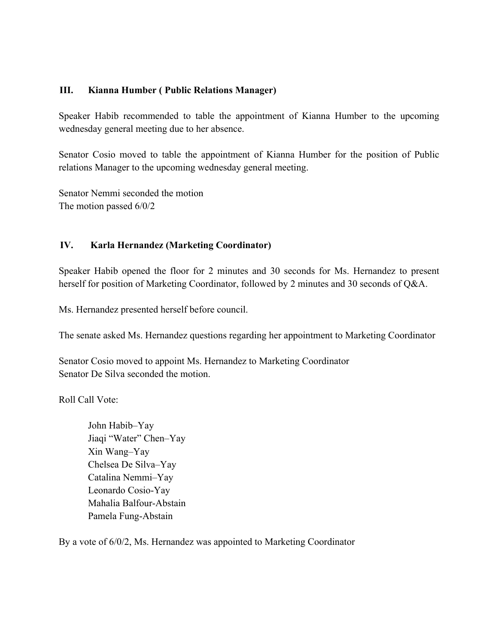#### **III. Kianna Humber ( Public Relations Manager)**

Speaker Habib recommended to table the appointment of Kianna Humber to the upcoming wednesday general meeting due to her absence.

Senator Cosio moved to table the appointment of Kianna Humber for the position of Public relations Manager to the upcoming wednesday general meeting.

Senator Nemmi seconded the motion The motion passed 6/0/2

#### **IV. Karla Hernandez (Marketing Coordinator)**

Speaker Habib opened the floor for 2 minutes and 30 seconds for Ms. Hernandez to present herself for position of Marketing Coordinator, followed by 2 minutes and 30 seconds of Q&A.

Ms. Hernandez presented herself before council.

The senate asked Ms. Hernandez questions regarding her appointment to Marketing Coordinator

Senator Cosio moved to appoint Ms. Hernandez to Marketing Coordinator Senator De Silva seconded the motion.

Roll Call Vote:

John Habib–Yay Jiaqi "Water" Chen–Yay Xin Wang–Yay Chelsea De Silva–Yay Catalina Nemmi–Yay Leonardo Cosio-Yay Mahalia Balfour-Abstain Pamela Fung-Abstain

By a vote of 6/0/2, Ms. Hernandez was appointed to Marketing Coordinator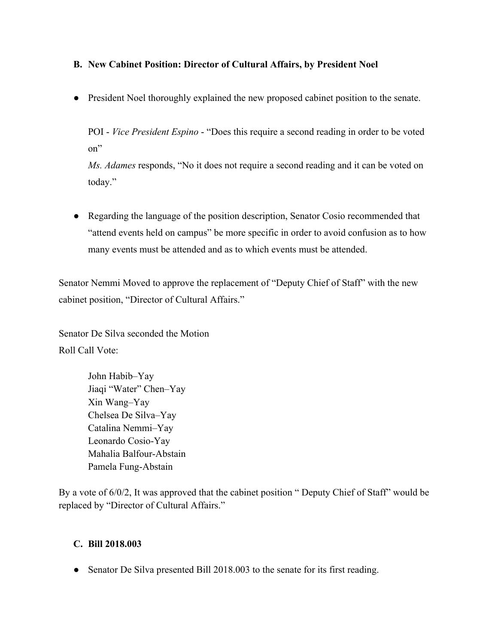## **B. New Cabinet Position: Director of Cultural Affairs, by President Noel**

● President Noel thoroughly explained the new proposed cabinet position to the senate.

POI - *Vice President Espino* - "Does this require a second reading in order to be voted on"

*Ms. Adames* responds, "No it does not require a second reading and it can be voted on today."

● Regarding the language of the position description, Senator Cosio recommended that "attend events held on campus" be more specific in order to avoid confusion as to how many events must be attended and as to which events must be attended.

Senator Nemmi Moved to approve the replacement of "Deputy Chief of Staff" with the new cabinet position, "Director of Cultural Affairs."

Senator De Silva seconded the Motion Roll Call Vote:

> John Habib–Yay Jiaqi "Water" Chen–Yay Xin Wang–Yay Chelsea De Silva–Yay Catalina Nemmi–Yay Leonardo Cosio-Yay Mahalia Balfour-Abstain Pamela Fung-Abstain

By a vote of 6/0/2, It was approved that the cabinet position " Deputy Chief of Staff" would be replaced by "Director of Cultural Affairs."

## **C. Bill 2018.003**

• Senator De Silva presented Bill 2018.003 to the senate for its first reading.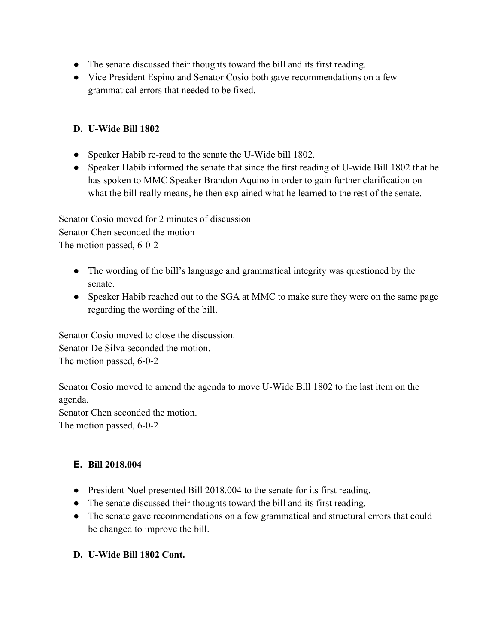- The senate discussed their thoughts toward the bill and its first reading.
- Vice President Espino and Senator Cosio both gave recommendations on a few grammatical errors that needed to be fixed.

## **D. U-Wide Bill 1802**

- Speaker Habib re-read to the senate the U-Wide bill 1802.
- Speaker Habib informed the senate that since the first reading of U-wide Bill 1802 that he has spoken to MMC Speaker Brandon Aquino in order to gain further clarification on what the bill really means, he then explained what he learned to the rest of the senate.

Senator Cosio moved for 2 minutes of discussion Senator Chen seconded the motion The motion passed, 6-0-2

- The wording of the bill's language and grammatical integrity was questioned by the senate.
- Speaker Habib reached out to the SGA at MMC to make sure they were on the same page regarding the wording of the bill.

Senator Cosio moved to close the discussion. Senator De Silva seconded the motion. The motion passed, 6-0-2

Senator Cosio moved to amend the agenda to move U-Wide Bill 1802 to the last item on the agenda. Senator Chen seconded the motion.

The motion passed, 6-0-2

# **E. Bill 2018.004**

- President Noel presented Bill 2018.004 to the senate for its first reading.
- The senate discussed their thoughts toward the bill and its first reading.
- The senate gave recommendations on a few grammatical and structural errors that could be changed to improve the bill.

## **D. U-Wide Bill 1802 Cont.**